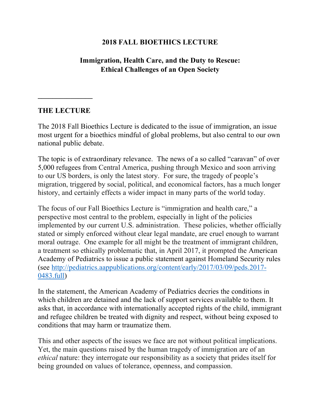## **2018 FALL BIOETHICS LECTURE**

## **Immigration, Health Care, and the Duty to Rescue: Ethical Challenges of an Open Society**

## **THE LECTURE**

**\_\_\_\_\_\_\_\_\_\_\_\_\_\_\_**

The 2018 Fall Bioethics Lecture is dedicated to the issue of immigration, an issue most urgent for a bioethics mindful of global problems, but also central to our own national public debate.

The topic is of extraordinary relevance. The news of a so called "caravan" of over 5,000 refugees from Central America, pushing through Mexico and soon arriving to our US borders, is only the latest story. For sure, the tragedy of people's migration, triggered by social, political, and economical factors, has a much longer history, and certainly effects a wider impact in many parts of the world today.

The focus of our Fall Bioethics Lecture is "immigration and health care," a perspective most central to the problem, especially in light of the policies implemented by our current U.S. administration. These policies, whether officially stated or simply enforced without clear legal mandate, are cruel enough to warrant moral outrage. One example for all might be the treatment of immigrant children, a treatment so ethically problematic that, in April 2017, it prompted the American Academy of Pediatrics to issue a public statement against Homeland Security rules (see http://pediatrics.aappublications.org/content/early/2017/03/09/peds.2017- 0483.full)

In the statement, the American Academy of Pediatrics decries the conditions in which children are detained and the lack of support services available to them. It asks that, in accordance with internationally accepted rights of the child, immigrant and refugee children be treated with dignity and respect, without being exposed to conditions that may harm or traumatize them.

This and other aspects of the issues we face are not without political implications. Yet, the main questions raised by the human tragedy of immigration are of an *ethical* nature: they interrogate our responsibility as a society that prides itself for being grounded on values of tolerance, openness, and compassion.